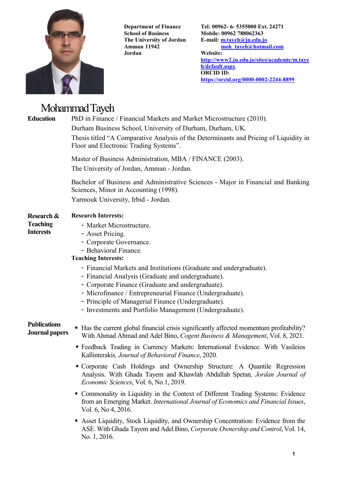

Department of Finance School of Business The University of Jordan Amman 11942 Jordan

Tel: 00962- 6- 5355000 Ext. 24271 Mobile: 00962 788062363 E-mail: m.tayeh@ju.edu.jo moh\_tayeh@hotmail.com Website: http://www2.ju.edu.jo/sites/academic/m.taye h/default.aspx ORCID ID: https://orcid.org/0000-0002-2244-8899

# Mohammad Tayeh

Education PhD in Finance / Financial Markets and Market Microstructure (2010). Durham Business School, University of Durham, Durham, UK.

> Thesis titled "A Comparative Analysis of the Determinants and Pricing of Liquidity in Floor and Electronic Trading Systems".

Master of Business Administration, MBA / FINANCE (2003).

The University of Jordan, Amman - Jordan.

Bachelor of Business and Administrative Sciences - Major in Financial and Banking Sciences, Minor in Accounting (1998).

Yarmouk University, Irbid - Jordan.

| Research & | <b>Research Interests:</b> |
|------------|----------------------------|
|            |                            |

#### Teaching **Interests**

- Market Microstructure.
- Asset Pricing.
- Corporate Governance.
- Behavioral Finance.

## Teaching Interests:

- Financial Markets and Institutions (Graduate and undergraduate).
- Financial Analysis (Graduate and undergraduate).
- Corporate Finance (Graduate and undergraduate).
- Microfinance / Entrepreneurial Finance (Undergraduate).
- Principle of Managerial Finance (Undergraduate).
- Investments and Portfolio Management (Undergraduate).

# **Publications**

- 
- **FUDICALIONS** Has the current global financial crisis significantly affected momentum profitability?<br>**Journal papers** With Abroad Abroad and Adal Dine *Consul Business & Managament* Vol. 8, 2021. With Ahmad Ahmad and Adel Bino, Cogent Business & Management, Vol. 8, 2021.
	- Feedback Trading in Currency Markets: International Evidence. With Vasileios Kallinterakis, Journal of Behavioral Finance, 2020.
	- Corporate Cash Holdings and Ownership Structure: A Quantile Regression Analysis. With Ghada Tayem and Khawlah Abdallah Spetan, Jordan Journal of Economic Sciences, Vol. 6, No.1, 2019.
	- Commonality in Liquidity in the Context of Different Trading Systems: Evidence from an Emerging Market. International Journal of Economics and Financial Issues, Vol. 6, No 4, 2016.
	- Asset Liquidity, Stock Liquidity, and Ownership Concentration: Evidence from the ASE. With Ghada Tayem and Adel Bino, Corporate Ownership and Control, Vol. 14, No. 1, 2016.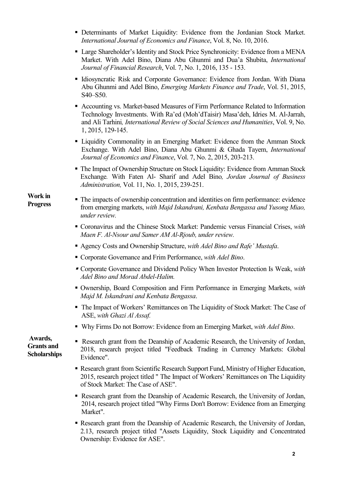- Determinants of Market Liquidity: Evidence from the Jordanian Stock Market. International Journal of Economics and Finance, Vol. 8, No. 10, 2016.
- Large Shareholder's Identity and Stock Price Synchronicity: Evidence from a MENA Market. With Adel Bino, Diana Abu Ghunmi and Dua'a Shubita, International Journal of Financial Research, Vol. 7, No. 1, 2016, 135 - 153.
- **IDED** Idiosyncratic Risk and Corporate Governance: Evidence from Jordan. With Diana Abu Ghunmi and Adel Bino, Emerging Markets Finance and Trade, Vol. 51, 2015, S40–S50.
- Accounting vs. Market-based Measures of Firm Performance Related to Information Technology Investments. With Ra'ed (Moh'dTaisir) Masa'deh, Idries M. Al-Jarrah, and Ali Tarhini, International Review of Social Sciences and Humanities, Vol. 9, No. 1, 2015, 129-145.
- Liquidity Commonality in an Emerging Market: Evidence from the Amman Stock Exchange. With Adel Bino, Diana Abu Ghunmi & Ghada Tayem, International Journal of Economics and Finance, Vol. 7, No. 2, 2015, 203-213.
- The Impact of Ownership Structure on Stock Liquidity: Evidence from Amman Stock Exchange. With Faten Al- Sharif and Adel Bino, Jordan Journal of Business Administration, Vol. 11, No. 1, 2015, 239-251.
- **Progress** The impacts of ownership concentration and identities on firm performance: evidence<br>**Progress** from amonging models, with Maid Islanduau, Kankata Banggaga and Vugara Mac. from emerging markets, with Majd Iskandrani, Kenbata Bengassa and Yusong Miao, under review.
	- **Coronavirus and the Chinese Stock Market: Pandemic versus Financial Crises, with** Maen F. Al-Nsour and Samer AM Al-Rjoub, under review.
	- Agency Costs and Ownership Structure, with Adel Bino and Rafe' Mustafa.
	- Corporate Governance and Frim Performance, with Adel Bino.
	- Corporate Governance and Dividend Policy When Investor Protection Is Weak, with Adel Bino and Morad Abdel-Halim.
	- Ownership, Board Composition and Firm Performance in Emerging Markets, with Majd M. Iskandrani and Kenbata Bengassa.
	- The Impact of Workers' Remittances on The Liquidity of Stock Market: The Case of ASE, with Ghazi Al Assaf.
	- Why Firms Do not Borrow: Evidence from an Emerging Market, with Adel Bino.

 Awards, Grants and **Scholarships** 

Work in

- Research grant from the Deanship of Academic Research, the University of Jordan, 2018, research project titled "Feedback Trading in Currency Markets: Global Evidence".
- Research grant from Scientific Research Support Fund, Ministry of Higher Education, 2015, research project titled " The Impact of Workers' Remittances on The Liquidity of Stock Market: The Case of ASE".
- Research grant from the Deanship of Academic Research, the University of Jordan, 2014, research project titled "Why Firms Don't Borrow: Evidence from an Emerging Market".
- Research grant from the Deanship of Academic Research, the University of Jordan, 2.13, research project titled "Assets Liquidity, Stock Liquidity and Concentrated Ownership: Evidence for ASE".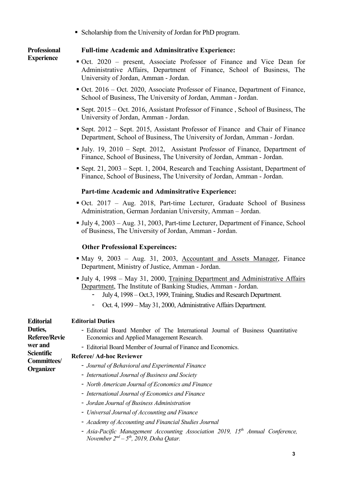Scholarship from the University of Jordan for PhD program.

**Professional Experience** 

## Full-time Academic and Adminsitrative Experience:

- Oct. 2020 present, Associate Professor of Finance and Vice Dean for Administrative Affairs, Department of Finance, School of Business, The University of Jordan, Amman - Jordan.
- Oct. 2016 Oct. 2020, Associate Professor of Finance, Department of Finance, School of Business, The University of Jordan, Amman - Jordan.
- Sept. 2015 Oct. 2016, Assistant Professor of Finance , School of Business, The University of Jordan, Amman - Jordan. Ĭ
- Sept. 2012 Sept. 2015, Assistant Professor of Finance and Chair of Finance Department, School of Business, The University of Jordan, Amman - Jordan.
- July. 19, 2010 Sept. 2012, Assistant Professor of Finance, Department of Finance, School of Business, The University of Jordan, Amman - Jordan.
- Sept. 21, 2003 Sept. 1, 2004, Research and Teaching Assistant, Department of Finance, School of Business, The University of Jordan, Amman - Jordan.

## Part-time Academic and Adminsitrative Experience:

- Oct. 2017 Aug. 2018, Part-time Lecturer, Graduate School of Business Administration, German Jordanian University, Amman – Jordan.
- July 4, 2003 Aug. 31, 2003, Part-time Lecturer, Department of Finance, School of Business, The University of Jordan, Amman - Jordan.

## Other Professional Expereinces:

- May 9, 2003 Aug. 31, 2003, Accountant and Assets Manager, Finance Department, Ministry of Justice, Amman - Jordan.
- July 4, 1998 May 31, 2000, Training Department and Administrative Affairs Department, The Institute of Banking Studies, Amman - Jordan.
	- July 4, 1998 Oct.3, 1999, Training, Studies and Research Department.
	- Oct. 4, 1999 May 31, 2000, Administrative Affairs Department.

#### **Editorial** Editorial Duties

Duties,

Referee/Revie wer and **Scientific** Committees/ **Organizer** 

- Editorial Board Member of The International Journal of Business Quantitative Economics and Applied Management Research.
	- Editorial Board Member of Journal of Finance and Economics.

## Referee/ Ad-hoc Reviewer

- Journal of Behavioral and Experimental Finance
- International Journal of Business and Society
- North American Journal of Economics and Finance
- International Journal of Economics and Finance
- Jordan Journal of Business Administration
- Universal Journal of Accounting and Finance
- Academy of Accounting and Financial Studies Journal
- Asia-Pacific Management Accounting Association 2019,  $15<sup>th</sup>$  Annual Conference, November  $2^{nd} - 5^{th}$ , 2019, Doha Qatar.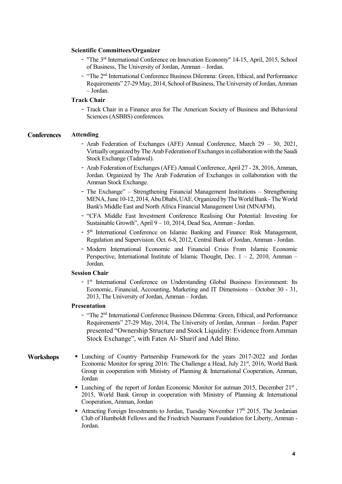#### Scientific Committees/Organizer

- "The 3rd International Conference on Innovation Economy" 14-15, April, 2015, School of Business, The University of Jordan, Amman – Jordan.
- "The 2nd International Conference Business Dilemma: Green, Ethical, and Performance Requirements" 27-29 May, 2014, School of Business, The University of Jordan, Amman – Jordan.

#### Track Chair

- Track Chair in a Finance area for The American Society of Business and Behavioral Sciences (ASBBS) conferences.

#### **Conferences** Attending

- Arab Federation of Exchanges (AFE) Annual Conference, March 29 30, 2021, Virtually organized by The Arab Federation of Exchanges in collaborationwith the Saudi Stock Exchange (Tadawul).
- Arab Federation of Exchanges (AFE) Annual Conference, April 27 28, 2016, Amman, Jordan. Organized by The Arab Federation of Exchanges in collaboration with the Amman Stock Exchange.
- The Exchange" Strengthening Financial Management Institutions Strengthening MENA, June 10-12, 2014, Abu Dhabi, UAE. Organized by The World Bank - The World Bank's Middle East and North Africa Financial Management Unit (MNAFM).
- "CFA Middle East Investment Conference Realising Our Potential: Investing for Sustainable Growth", April 9 – 10, 2014, Dead Sea, Amman - Jordan.
- 5<sup>th</sup> International Conference on Islamic Banking and Finance: Risk Management, Regulation and Supervision. Oct. 6-8, 2012, Central Bank of Jordan, Amman - Jordan.
- Modern International Economic and Financial Crisis From Islamic Economic Perspective, International Institute of Islamic Thought, Dec.  $1 - 2$ , 2010, Amman – Jordan.

#### Session Chair

- 1<sup>st</sup> International Conference on Understanding Global Business Environment: Its Economic, Financial, Accounting, Marketing and IT Dimensions – October 30 - 31, 2013, The University of Jordan, Amman – Jordan.

#### Presentation

- "The 2nd International Conference Business Dilemma: Green, Ethical, and Performance Requirements" 27-29 May, 2014, The University of Jordan, Amman – Jordan. Paper presented "Ownership Structure and Stock Liquidity: Evidence from Amman Stock Exchange", with Faten Al- Sharif and Adel Bino.

- Workshops Lunching of Country Partnership Framework for the years 2017-2022 and Jordan Economic Monitor for spring 2016: The Challenge a Head, July  $21<sup>st</sup>$ , 2016, World Bank Group in cooperation with Ministry of Planning & International Cooperation, Amman, Jordan
	- Lunching of the report of Jordan Economic Monitor for autman 2015, December 21<sup>st</sup>, 2015, World Bank Group in cooperation with Ministry of Planning & International Cooperation, Amman, Jordan
	- Attracting Foreign Investments to Jordan, Tuesday November  $17<sup>th</sup>$  2015, The Jordanian Club of Humboldt Fellows and the Friedrich Naumann Foundation for Liberty, Amman - Jordan.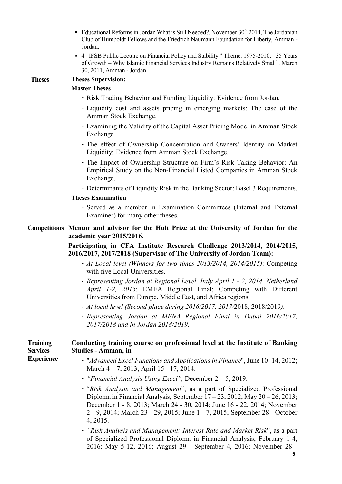- Educational Reforms in Jordan What is Still Needed?, November  $30<sup>th</sup> 2014$ , The Jordanian Club of Humboldt Fellows and the Friedrich Naumann Foundation for Liberty, Amman - Jordan.
- <sup>4th</sup> IFSB Public Lecture on Financial Policy and Stability " Theme: 1975-2010: 35 Years of Growth – Why Islamic Financial Services Industry Remains Relatively Small". March 30, 2011, Amman - Jordan

| <b>Theses</b> |  |
|---------------|--|
|---------------|--|

# **Theses Supervision:**

# Master Theses

- Risk Trading Behavior and Funding Liquidity: Evidence from Jordan.
- Liquidity cost and assets pricing in emerging markets: The case of the Amman Stock Exchange.
- Examining the Validity of the Capital Asset Pricing Model in Amman Stock Exchange.
- The effect of Ownership Concentration and Owners' Identity on Market Liquidity: Evidence from Amman Stock Exchange.
- The Impact of Ownership Structure on Firm's Risk Taking Behavior: An Empirical Study on the Non-Financial Listed Companies in Amman Stock Exchange.
- Determinants of Liquidity Risk in the Banking Sector: Basel 3 Requirements.

#### Theses Examination

- Served as a member in Examination Committees (Internal and External Examiner) for many other theses.

#### Competitions Mentor and advisor for the Hult Prize at the University of Jordan for the academic year 2015/2016.

## Participating in CFA Institute Research Challenge 2013/2014, 2014/2015, 2016/2017, 2017/2018 (Supervisor of The University of Jordan Team):

- At Local level (Winners for two times 2013/2014, 2014/2015): Competing with five Local Universities.
- Representing Jordan at Regional Level, Italy April 1 2, 2014, Netherland April 1-2, 2015: EMEA Regional Final; Competing with Different Universities from Europe, Middle East, and Africa regions.
- At local level (Second place during 2016/2017, 2017/2018, 2018/2019).
- Representing Jordan at MENA Regional Final in Dubai 2016/2017, 2017/2018 and in Jordan 2018/2019.

#### **Training Services Experience** Conducting training course on professional level at the Institute of Banking Studies - Amman, in

- "Advanced Excel Functions and Applications in Finance", June 10 -14, 2012; March 4 – 7, 2013; April 15 - 17, 2014.
- "Financial Analysis Using Excel", December 2 5, 2019.
- "Risk Analysis and Management", as a part of Specialized Professional Diploma in Financial Analysis, September  $17 - 23$ , 2012; May  $20 - 26$ , 2013; December 1 - 8, 2013; March 24 - 30, 2014; June 16 - 22, 2014; November 2 - 9, 2014; March 23 - 29, 2015; June 1 - 7, 2015; September 28 - October 4, 2015.
- "Risk Analysis and Management: Interest Rate and Market Risk", as a part of Specialized Professional Diploma in Financial Analysis, February 1-4, 2016; May 5-12, 2016; August 29 - September 4, 2016; November 28 -